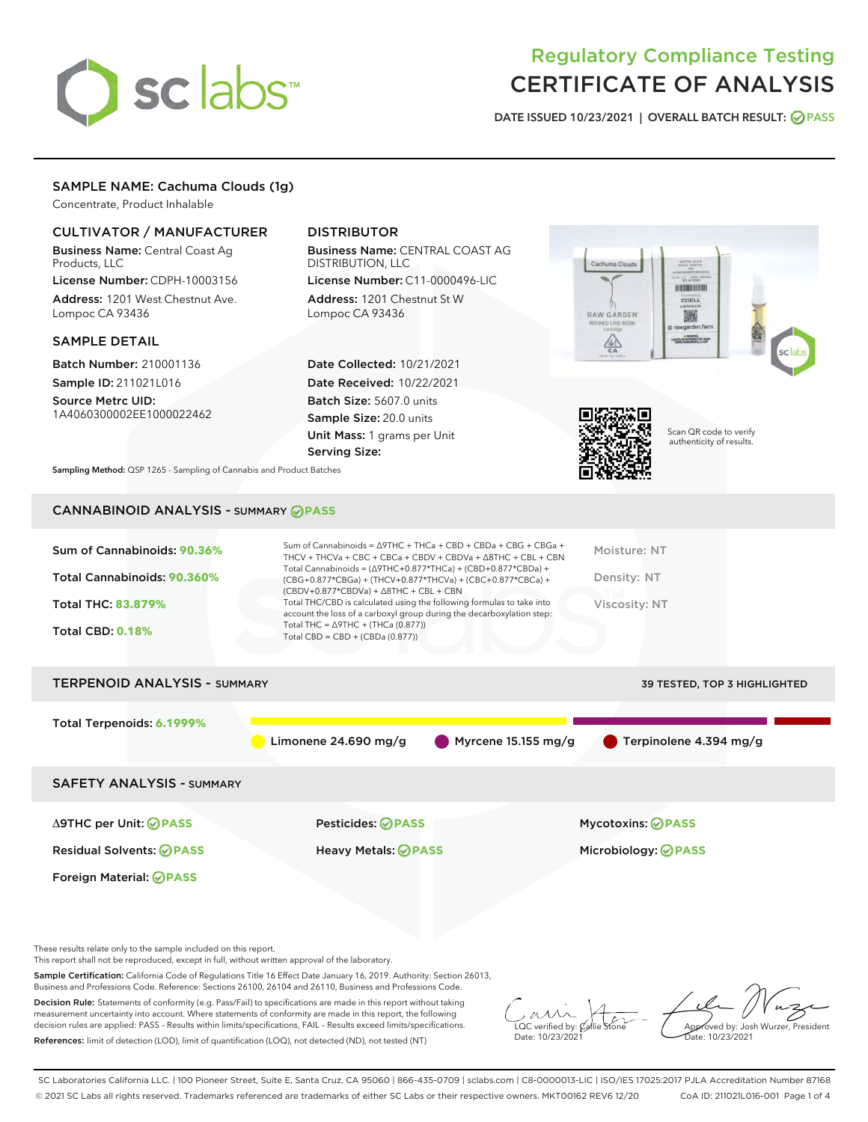# sclabs

# Regulatory Compliance Testing CERTIFICATE OF ANALYSIS

DATE ISSUED 10/23/2021 | OVERALL BATCH RESULT: @ PASS

# SAMPLE NAME: Cachuma Clouds (1g)

Concentrate, Product Inhalable

# CULTIVATOR / MANUFACTURER

Business Name: Central Coast Ag Products, LLC

License Number: CDPH-10003156 Address: 1201 West Chestnut Ave. Lompoc CA 93436

### SAMPLE DETAIL

Batch Number: 210001136 Sample ID: 211021L016

Source Metrc UID: 1A4060300002EE1000022462

# DISTRIBUTOR

Business Name: CENTRAL COAST AG DISTRIBUTION, LLC

License Number: C11-0000496-LIC Address: 1201 Chestnut St W Lompoc CA 93436

Date Collected: 10/21/2021 Date Received: 10/22/2021 Batch Size: 5607.0 units Sample Size: 20.0 units Unit Mass: 1 grams per Unit Serving Size:





Scan QR code to verify authenticity of results.

Sampling Method: QSP 1265 - Sampling of Cannabis and Product Batches

# CANNABINOID ANALYSIS - SUMMARY **PASS**



Sample Certification: California Code of Regulations Title 16 Effect Date January 16, 2019. Authority: Section 26013, Business and Professions Code. Reference: Sections 26100, 26104 and 26110, Business and Professions Code.

Decision Rule: Statements of conformity (e.g. Pass/Fail) to specifications are made in this report without taking measurement uncertainty into account. Where statements of conformity are made in this report, the following decision rules are applied: PASS – Results within limits/specifications, FAIL – Results exceed limits/specifications. References: limit of detection (LOD), limit of quantification (LOQ), not detected (ND), not tested (NT)

 $\overline{\text{C}}$  verified by:  $\mathcal C$ Date: 10/23/2021

Approved by: Josh Wurzer, President ate: 10/23/2021

SC Laboratories California LLC. | 100 Pioneer Street, Suite E, Santa Cruz, CA 95060 | 866-435-0709 | sclabs.com | C8-0000013-LIC | ISO/IES 17025:2017 PJLA Accreditation Number 87168 © 2021 SC Labs all rights reserved. Trademarks referenced are trademarks of either SC Labs or their respective owners. MKT00162 REV6 12/20 CoA ID: 211021L016-001 Page 1 of 4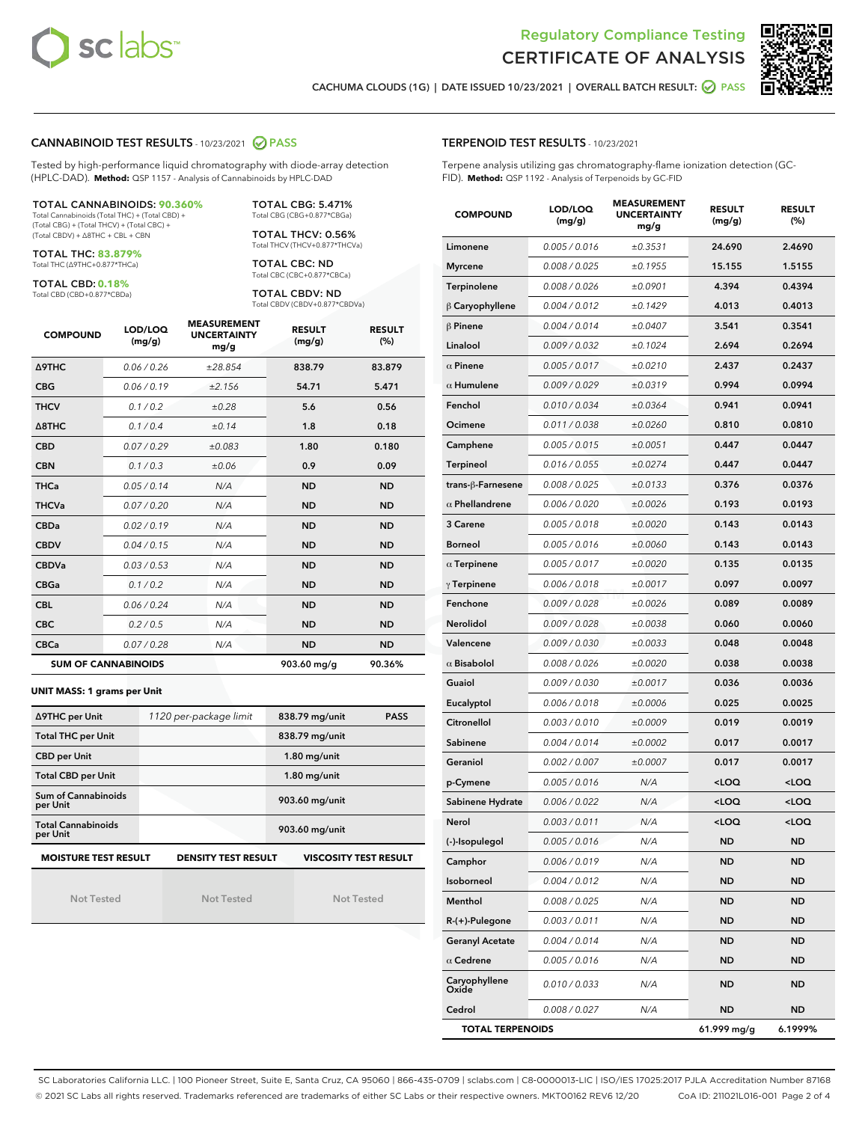



CACHUMA CLOUDS (1G) | DATE ISSUED 10/23/2021 | OVERALL BATCH RESULT: **○** PASS

#### CANNABINOID TEST RESULTS - 10/23/2021 2 PASS

Tested by high-performance liquid chromatography with diode-array detection (HPLC-DAD). **Method:** QSP 1157 - Analysis of Cannabinoids by HPLC-DAD

#### TOTAL CANNABINOIDS: **90.360%**

Total Cannabinoids (Total THC) + (Total CBD) + (Total CBG) + (Total THCV) + (Total CBC) + (Total CBDV) + ∆8THC + CBL + CBN

TOTAL THC: **83.879%** Total THC (∆9THC+0.877\*THCa)

TOTAL CBD: **0.18%**

Total CBD (CBD+0.877\*CBDa)

TOTAL CBG: 5.471% Total CBG (CBG+0.877\*CBGa)

TOTAL THCV: 0.56% Total THCV (THCV+0.877\*THCVa)

TOTAL CBC: ND Total CBC (CBC+0.877\*CBCa)

TOTAL CBDV: ND Total CBDV (CBDV+0.877\*CBDVa)

| <b>COMPOUND</b>  | LOD/LOQ<br>(mg/g)          | <b>MEASUREMENT</b><br><b>UNCERTAINTY</b><br>mg/g | <b>RESULT</b><br>(mg/g) | <b>RESULT</b><br>(%) |
|------------------|----------------------------|--------------------------------------------------|-------------------------|----------------------|
| <b>A9THC</b>     | 0.06/0.26                  | ±28.854                                          | 838.79                  | 83.879               |
| <b>CBG</b>       | 0.06/0.19                  | ±2.156                                           | 54.71                   | 5.471                |
| <b>THCV</b>      | 0.1 / 0.2                  | ±0.28                                            | 5.6                     | 0.56                 |
| $\triangle$ 8THC | 0.1/0.4                    | ±0.14                                            | 1.8                     | 0.18                 |
| <b>CBD</b>       | 0.07/0.29                  | ±0.083                                           | 1.80                    | 0.180                |
| <b>CBN</b>       | 0.1/0.3                    | ±0.06                                            | 0.9                     | 0.09                 |
| <b>THCa</b>      | 0.05/0.14                  | N/A                                              | <b>ND</b>               | <b>ND</b>            |
| <b>THCVa</b>     | 0.07/0.20                  | N/A                                              | <b>ND</b>               | <b>ND</b>            |
| <b>CBDa</b>      | 0.02/0.19                  | N/A                                              | <b>ND</b>               | <b>ND</b>            |
| <b>CBDV</b>      | 0.04/0.15                  | N/A                                              | <b>ND</b>               | <b>ND</b>            |
| <b>CBDVa</b>     | 0.03/0.53                  | N/A                                              | <b>ND</b>               | <b>ND</b>            |
| <b>CBGa</b>      | 0.1 / 0.2                  | N/A                                              | <b>ND</b>               | <b>ND</b>            |
| <b>CBL</b>       | 0.06 / 0.24                | N/A                                              | <b>ND</b>               | <b>ND</b>            |
| <b>CBC</b>       | 0.2 / 0.5                  | N/A                                              | <b>ND</b>               | <b>ND</b>            |
| <b>CBCa</b>      | 0.07/0.28                  | N/A                                              | <b>ND</b>               | <b>ND</b>            |
|                  | <b>SUM OF CANNABINOIDS</b> |                                                  | 903.60 mg/g             | 90.36%               |

**UNIT MASS: 1 grams per Unit**

| ∆9THC per Unit                        | 1120 per-package limit     | 838.79 mg/unit<br><b>PASS</b> |
|---------------------------------------|----------------------------|-------------------------------|
| <b>Total THC per Unit</b>             |                            | 838.79 mg/unit                |
| <b>CBD per Unit</b>                   |                            | $1.80$ mg/unit                |
| <b>Total CBD per Unit</b>             |                            | $1.80$ mg/unit                |
| Sum of Cannabinoids<br>per Unit       |                            | 903.60 mg/unit                |
| <b>Total Cannabinoids</b><br>per Unit |                            | 903.60 mg/unit                |
| <b>MOISTURE TEST RESULT</b>           | <b>DENSITY TEST RESULT</b> | <b>VISCOSITY TEST RESULT</b>  |

Not Tested

Not Tested

Not Tested

#### TERPENOID TEST RESULTS - 10/23/2021

Terpene analysis utilizing gas chromatography-flame ionization detection (GC-FID). **Method:** QSP 1192 - Analysis of Terpenoids by GC-FID

| <b>COMPOUND</b>         | LOD/LOQ<br>(mg/g) | <b>MEASUREMENT</b><br><b>UNCERTAINTY</b><br>mg/g | <b>RESULT</b><br>(mg/g)                         | <b>RESULT</b><br>(%) |
|-------------------------|-------------------|--------------------------------------------------|-------------------------------------------------|----------------------|
| Limonene                | 0.005 / 0.016     | ±0.3531                                          | 24.690                                          | 2.4690               |
| <b>Myrcene</b>          | 0.008 / 0.025     | ±0.1955                                          | 15.155                                          | 1.5155               |
| Terpinolene             | 0.008 / 0.026     | ±0.0901                                          | 4.394                                           | 0.4394               |
| $\beta$ Caryophyllene   | 0.004 / 0.012     | ±0.1429                                          | 4.013                                           | 0.4013               |
| $\beta$ Pinene          | 0.004 / 0.014     | ±0.0407                                          | 3.541                                           | 0.3541               |
| Linalool                | 0.009 / 0.032     | ±0.1024                                          | 2.694                                           | 0.2694               |
| $\alpha$ Pinene         | 0.005 / 0.017     | ±0.0210                                          | 2.437                                           | 0.2437               |
| $\alpha$ Humulene       | 0.009/0.029       | ±0.0319                                          | 0.994                                           | 0.0994               |
| Fenchol                 | 0.010 / 0.034     | ±0.0364                                          | 0.941                                           | 0.0941               |
| Ocimene                 | 0.011 / 0.038     | ±0.0260                                          | 0.810                                           | 0.0810               |
| Camphene                | 0.005 / 0.015     | ±0.0051                                          | 0.447                                           | 0.0447               |
| Terpineol               | 0.016 / 0.055     | ±0.0274                                          | 0.447                                           | 0.0447               |
| trans-ß-Farnesene       | 0.008 / 0.025     | ±0.0133                                          | 0.376                                           | 0.0376               |
| $\alpha$ Phellandrene   | 0.006 / 0.020     | ±0.0026                                          | 0.193                                           | 0.0193               |
| 3 Carene                | 0.005 / 0.018     | ±0.0020                                          | 0.143                                           | 0.0143               |
| Borneol                 | 0.005 / 0.016     | ±0.0060                                          | 0.143                                           | 0.0143               |
| $\alpha$ Terpinene      | 0.005 / 0.017     | ±0.0020                                          | 0.135                                           | 0.0135               |
| $\gamma$ Terpinene      | 0.006 / 0.018     | ±0.0017                                          | 0.097                                           | 0.0097               |
| Fenchone                | 0.009 / 0.028     | ±0.0026                                          | 0.089                                           | 0.0089               |
| Nerolidol               | 0.009 / 0.028     | ±0.0038                                          | 0.060                                           | 0.0060               |
| Valencene               | 0.009 / 0.030     | ±0.0033                                          | 0.048                                           | 0.0048               |
| $\alpha$ Bisabolol      | 0.008 / 0.026     | ±0.0020                                          | 0.038                                           | 0.0038               |
| Guaiol                  | 0.009 / 0.030     | ±0.0017                                          | 0.036                                           | 0.0036               |
| Eucalyptol              | 0.006 / 0.018     | ±0.0006                                          | 0.025                                           | 0.0025               |
| Citronellol             | 0.003 / 0.010     | ±0.0009                                          | 0.019                                           | 0.0019               |
| Sabinene                | 0.004 / 0.014     | ±0.0002                                          | 0.017                                           | 0.0017               |
| Geraniol                | 0.002 / 0.007     | ±0.0007                                          | 0.017                                           | 0.0017               |
| p-Cymene                | 0.005 / 0.016     | N/A                                              | <loq< th=""><th><loq< th=""></loq<></th></loq<> | <loq< th=""></loq<>  |
| Sabinene Hydrate        | 0.006 / 0.022     | N/A                                              | <loq< th=""><th><loq< th=""></loq<></th></loq<> | <loq< th=""></loq<>  |
| Nerol                   | 0.003 / 0.011     | N/A                                              | <loq< th=""><th><loq< th=""></loq<></th></loq<> | <loq< th=""></loq<>  |
| (-)-Isopulegol          | 0.005 / 0.016     | N/A                                              | ND                                              | ND                   |
| Camphor                 | 0.006 / 0.019     | N/A                                              | ND                                              | ND                   |
| Isoborneol              | 0.004 / 0.012     | N/A                                              | <b>ND</b>                                       | ND                   |
| Menthol                 | 0.008 / 0.025     | N/A                                              | ND                                              | ND                   |
| $R-(+)$ -Pulegone       | 0.003 / 0.011     | N/A                                              | ND                                              | ND                   |
| <b>Geranyl Acetate</b>  | 0.004 / 0.014     | N/A                                              | <b>ND</b>                                       | ND                   |
| $\alpha$ Cedrene        | 0.005 / 0.016     | N/A                                              | ND                                              | ND                   |
| Caryophyllene<br>Oxide  | 0.010 / 0.033     | N/A                                              | ND                                              | ND                   |
| Cedrol                  | 0.008 / 0.027     | N/A                                              | ND                                              | ND                   |
| <b>TOTAL TERPENOIDS</b> |                   |                                                  | 61.999 mg/g                                     | 6.1999%              |

SC Laboratories California LLC. | 100 Pioneer Street, Suite E, Santa Cruz, CA 95060 | 866-435-0709 | sclabs.com | C8-0000013-LIC | ISO/IES 17025:2017 PJLA Accreditation Number 87168 © 2021 SC Labs all rights reserved. Trademarks referenced are trademarks of either SC Labs or their respective owners. MKT00162 REV6 12/20 CoA ID: 211021L016-001 Page 2 of 4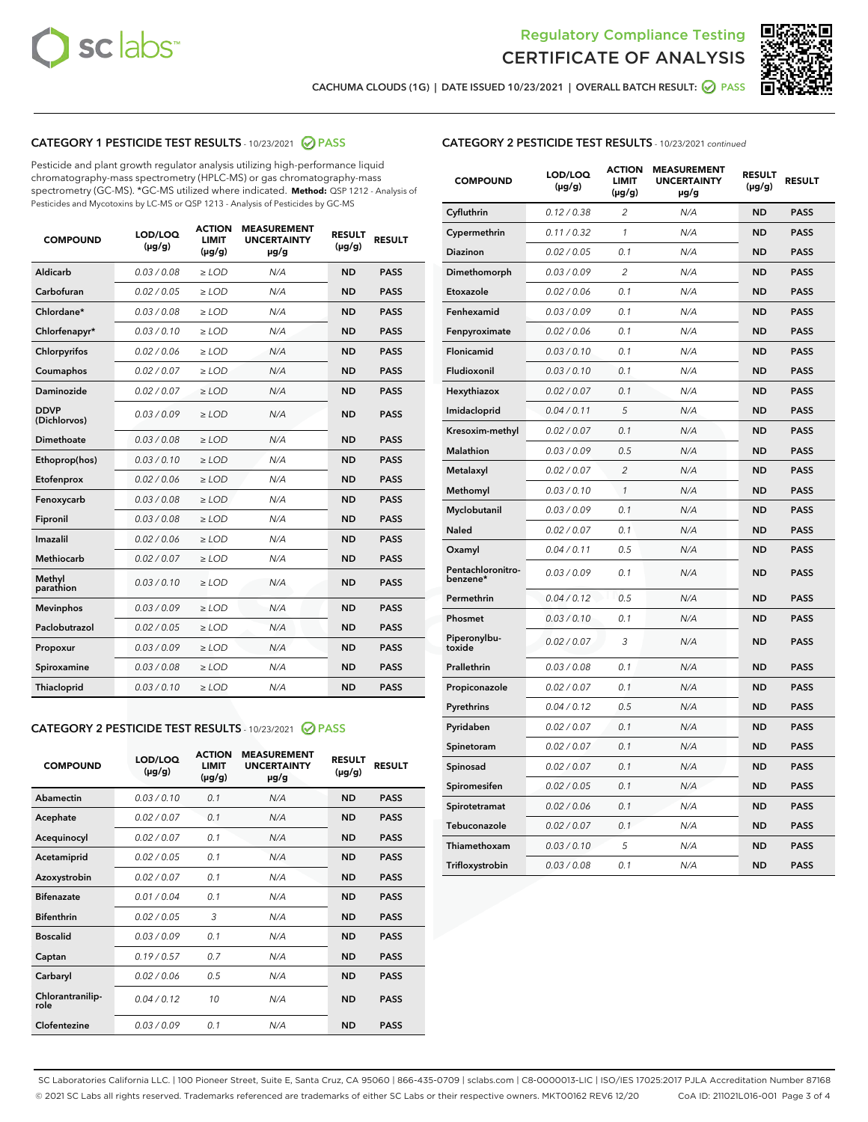



CACHUMA CLOUDS (1G) | DATE ISSUED 10/23/2021 | OVERALL BATCH RESULT: @ PASS

#### CATEGORY 1 PESTICIDE TEST RESULTS - 10/23/2021 @ PASS

Pesticide and plant growth regulator analysis utilizing high-performance liquid chromatography-mass spectrometry (HPLC-MS) or gas chromatography-mass spectrometry (GC-MS). \*GC-MS utilized where indicated. **Method:** QSP 1212 - Analysis of Pesticides and Mycotoxins by LC-MS or QSP 1213 - Analysis of Pesticides by GC-MS

| <b>COMPOUND</b>             | LOD/LOQ<br>$(\mu g/g)$ | <b>ACTION</b><br><b>LIMIT</b><br>$(\mu g/g)$ | <b>MEASUREMENT</b><br><b>UNCERTAINTY</b><br>$\mu$ g/g | <b>RESULT</b><br>$(\mu g/g)$ | <b>RESULT</b> |
|-----------------------------|------------------------|----------------------------------------------|-------------------------------------------------------|------------------------------|---------------|
| Aldicarb                    | 0.03 / 0.08            | $\ge$ LOD                                    | N/A                                                   | <b>ND</b>                    | <b>PASS</b>   |
| Carbofuran                  | 0.02 / 0.05            | $\ge$ LOD                                    | N/A                                                   | <b>ND</b>                    | <b>PASS</b>   |
| Chlordane*                  | 0.03 / 0.08            | $\ge$ LOD                                    | N/A                                                   | <b>ND</b>                    | <b>PASS</b>   |
| Chlorfenapyr*               | 0.03/0.10              | $\ge$ LOD                                    | N/A                                                   | <b>ND</b>                    | <b>PASS</b>   |
| Chlorpyrifos                | 0.02 / 0.06            | $\ge$ LOD                                    | N/A                                                   | <b>ND</b>                    | <b>PASS</b>   |
| Coumaphos                   | 0.02 / 0.07            | $\ge$ LOD                                    | N/A                                                   | <b>ND</b>                    | <b>PASS</b>   |
| Daminozide                  | 0.02 / 0.07            | $\ge$ LOD                                    | N/A                                                   | <b>ND</b>                    | <b>PASS</b>   |
| <b>DDVP</b><br>(Dichlorvos) | 0.03/0.09              | $>$ LOD                                      | N/A                                                   | <b>ND</b>                    | <b>PASS</b>   |
| Dimethoate                  | 0.03/0.08              | $\ge$ LOD                                    | N/A                                                   | <b>ND</b>                    | <b>PASS</b>   |
| Ethoprop(hos)               | 0.03 / 0.10            | $>$ LOD                                      | N/A                                                   | <b>ND</b>                    | <b>PASS</b>   |
| Etofenprox                  | 0.02 / 0.06            | $\ge$ LOD                                    | N/A                                                   | <b>ND</b>                    | <b>PASS</b>   |
| Fenoxycarb                  | 0.03/0.08              | $\ge$ LOD                                    | N/A                                                   | <b>ND</b>                    | <b>PASS</b>   |
| Fipronil                    | 0.03/0.08              | $\ge$ LOD                                    | N/A                                                   | <b>ND</b>                    | <b>PASS</b>   |
| Imazalil                    | 0.02 / 0.06            | $>$ LOD                                      | N/A                                                   | <b>ND</b>                    | <b>PASS</b>   |
| <b>Methiocarb</b>           | 0.02 / 0.07            | $\ge$ LOD                                    | N/A                                                   | <b>ND</b>                    | <b>PASS</b>   |
| Methyl<br>parathion         | 0.03/0.10              | $\ge$ LOD                                    | N/A                                                   | <b>ND</b>                    | <b>PASS</b>   |
| <b>Mevinphos</b>            | 0.03/0.09              | $\ge$ LOD                                    | N/A                                                   | <b>ND</b>                    | <b>PASS</b>   |
| Paclobutrazol               | 0.02 / 0.05            | $>$ LOD                                      | N/A                                                   | <b>ND</b>                    | <b>PASS</b>   |
| Propoxur                    | 0.03/0.09              | $\ge$ LOD                                    | N/A                                                   | <b>ND</b>                    | <b>PASS</b>   |
| Spiroxamine                 | 0.03 / 0.08            | $\ge$ LOD                                    | N/A                                                   | <b>ND</b>                    | <b>PASS</b>   |
| Thiacloprid                 | 0.03/0.10              | $\ge$ LOD                                    | N/A                                                   | <b>ND</b>                    | <b>PASS</b>   |

#### CATEGORY 2 PESTICIDE TEST RESULTS - 10/23/2021 @ PASS

| <b>COMPOUND</b>          | LOD/LOO<br>$(\mu g/g)$ | <b>ACTION</b><br>LIMIT<br>$(\mu g/g)$ | <b>MEASUREMENT</b><br><b>UNCERTAINTY</b><br>µg/g | <b>RESULT</b><br>$(\mu g/g)$ | <b>RESULT</b> |
|--------------------------|------------------------|---------------------------------------|--------------------------------------------------|------------------------------|---------------|
| Abamectin                | 0.03/0.10              | 0.1                                   | N/A                                              | <b>ND</b>                    | <b>PASS</b>   |
| Acephate                 | 0.02/0.07              | 0.1                                   | N/A                                              | <b>ND</b>                    | <b>PASS</b>   |
| Acequinocyl              | 0.02/0.07              | 0.1                                   | N/A                                              | <b>ND</b>                    | <b>PASS</b>   |
| Acetamiprid              | 0.02/0.05              | 0.1                                   | N/A                                              | <b>ND</b>                    | <b>PASS</b>   |
| Azoxystrobin             | 0.02/0.07              | 0.1                                   | N/A                                              | <b>ND</b>                    | <b>PASS</b>   |
| <b>Bifenazate</b>        | 0.01/0.04              | 0.1                                   | N/A                                              | <b>ND</b>                    | <b>PASS</b>   |
| <b>Bifenthrin</b>        | 0.02/0.05              | 3                                     | N/A                                              | <b>ND</b>                    | <b>PASS</b>   |
| <b>Boscalid</b>          | 0.03/0.09              | 0.1                                   | N/A                                              | <b>ND</b>                    | <b>PASS</b>   |
| Captan                   | 0.19/0.57              | 0.7                                   | N/A                                              | <b>ND</b>                    | <b>PASS</b>   |
| Carbaryl                 | 0.02/0.06              | 0.5                                   | N/A                                              | <b>ND</b>                    | <b>PASS</b>   |
| Chlorantranilip-<br>role | 0.04/0.12              | 10                                    | N/A                                              | <b>ND</b>                    | <b>PASS</b>   |
| Clofentezine             | 0.03/0.09              | 0.1                                   | N/A                                              | <b>ND</b>                    | <b>PASS</b>   |

# CATEGORY 2 PESTICIDE TEST RESULTS - 10/23/2021 continued

| <b>COMPOUND</b>               | LOD/LOQ<br>(µg/g) | <b>ACTION</b><br><b>LIMIT</b><br>$(\mu g/g)$ | <b>MEASUREMENT</b><br><b>UNCERTAINTY</b><br>µg/g | <b>RESULT</b><br>(µg/g) | <b>RESULT</b> |
|-------------------------------|-------------------|----------------------------------------------|--------------------------------------------------|-------------------------|---------------|
| Cyfluthrin                    | 0.12 / 0.38       | $\overline{c}$                               | N/A                                              | ND                      | <b>PASS</b>   |
| Cypermethrin                  | 0.11 / 0.32       | $\mathcal{I}$                                | N/A                                              | ND                      | <b>PASS</b>   |
| <b>Diazinon</b>               | 0.02 / 0.05       | 0.1                                          | N/A                                              | <b>ND</b>               | <b>PASS</b>   |
| Dimethomorph                  | 0.03 / 0.09       | 2                                            | N/A                                              | ND                      | <b>PASS</b>   |
| Etoxazole                     | 0.02 / 0.06       | 0.1                                          | N/A                                              | ND                      | <b>PASS</b>   |
| Fenhexamid                    | 0.03 / 0.09       | 0.1                                          | N/A                                              | ND                      | <b>PASS</b>   |
| Fenpyroximate                 | 0.02 / 0.06       | 0.1                                          | N/A                                              | <b>ND</b>               | <b>PASS</b>   |
| Flonicamid                    | 0.03 / 0.10       | 0.1                                          | N/A                                              | ND                      | <b>PASS</b>   |
| Fludioxonil                   | 0.03 / 0.10       | 0.1                                          | N/A                                              | ND                      | <b>PASS</b>   |
| Hexythiazox                   | 0.02 / 0.07       | 0.1                                          | N/A                                              | ND                      | <b>PASS</b>   |
| Imidacloprid                  | 0.04 / 0.11       | 5                                            | N/A                                              | ND                      | <b>PASS</b>   |
| Kresoxim-methyl               | 0.02 / 0.07       | 0.1                                          | N/A                                              | ND                      | <b>PASS</b>   |
| Malathion                     | 0.03 / 0.09       | 0.5                                          | N/A                                              | ND                      | <b>PASS</b>   |
| Metalaxyl                     | 0.02 / 0.07       | $\overline{c}$                               | N/A                                              | ND                      | <b>PASS</b>   |
| Methomyl                      | 0.03 / 0.10       | $\mathbf{1}$                                 | N/A                                              | ND                      | <b>PASS</b>   |
| Myclobutanil                  | 0.03 / 0.09       | 0.1                                          | N/A                                              | <b>ND</b>               | <b>PASS</b>   |
| Naled                         | 0.02 / 0.07       | 0.1                                          | N/A                                              | ND                      | <b>PASS</b>   |
| Oxamyl                        | 0.04 / 0.11       | 0.5                                          | N/A                                              | ND                      | PASS          |
| Pentachloronitro-<br>benzene* | 0.03 / 0.09       | 0.1                                          | N/A                                              | ND                      | <b>PASS</b>   |
| Permethrin                    | 0.04 / 0.12       | 0.5                                          | N/A                                              | ND                      | <b>PASS</b>   |
| Phosmet                       | 0.03 / 0.10       | 0.1                                          | N/A                                              | ND                      | <b>PASS</b>   |
| Piperonylbu-<br>toxide        | 0.02 / 0.07       | 3                                            | N/A                                              | <b>ND</b>               | <b>PASS</b>   |
| Prallethrin                   | 0.03 / 0.08       | 0.1                                          | N/A                                              | ND                      | <b>PASS</b>   |
| Propiconazole                 | 0.02 / 0.07       | 0.1                                          | N/A                                              | <b>ND</b>               | <b>PASS</b>   |
| Pyrethrins                    | 0.04 / 0.12       | 0.5                                          | N/A                                              | ND                      | <b>PASS</b>   |
| Pyridaben                     | 0.02 / 0.07       | 0.1                                          | N/A                                              | <b>ND</b>               | <b>PASS</b>   |
| Spinetoram                    | 0.02 / 0.07       | 0.1                                          | N/A                                              | ND                      | <b>PASS</b>   |
| Spinosad                      | 0.02 / 0.07       | 0.1                                          | N/A                                              | ND                      | <b>PASS</b>   |
| Spiromesifen                  | 0.02 / 0.05       | 0.1                                          | N/A                                              | <b>ND</b>               | <b>PASS</b>   |
| Spirotetramat                 | 0.02 / 0.06       | 0.1                                          | N/A                                              | ND                      | <b>PASS</b>   |
| Tebuconazole                  | 0.02 / 0.07       | 0.1                                          | N/A                                              | ND                      | <b>PASS</b>   |
| Thiamethoxam                  | 0.03 / 0.10       | 5                                            | N/A                                              | <b>ND</b>               | <b>PASS</b>   |
| Trifloxystrobin               | 0.03 / 0.08       | 0.1                                          | N/A                                              | <b>ND</b>               | <b>PASS</b>   |

SC Laboratories California LLC. | 100 Pioneer Street, Suite E, Santa Cruz, CA 95060 | 866-435-0709 | sclabs.com | C8-0000013-LIC | ISO/IES 17025:2017 PJLA Accreditation Number 87168 © 2021 SC Labs all rights reserved. Trademarks referenced are trademarks of either SC Labs or their respective owners. MKT00162 REV6 12/20 CoA ID: 211021L016-001 Page 3 of 4